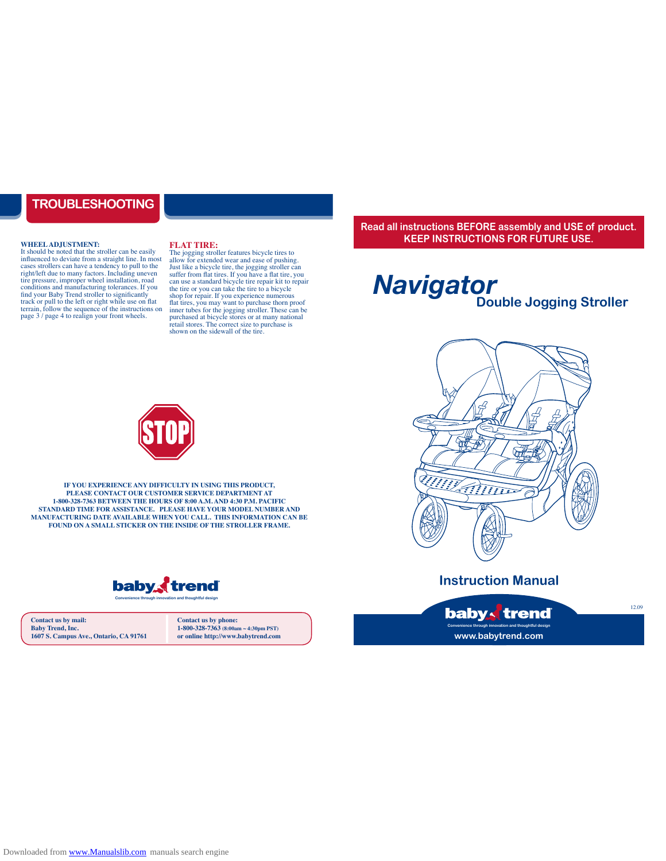#### **TROUBLESHOOTING**

#### **WHEEL ADJUSTMENT:**

It should be noted that the stroller can be easily influenced to deviate from a straight line. In most cases strollers can have a tendency to pull to the right/left due to many factors. Including uneven tire pressure, improper wheel installation, road conditions and manufacturing tolerances. If you find your Baby Trend stroller to significantly track or pull to the left or right while use on flat terrain, follow the sequence of the instructions on page 3 / page 4 to realign your front wheels.

#### **FLAT TIRE:**

The jogging stroller features bicycle tires to allow for extended wear and ease of pushing. Just like a bicycle tire, the jogging stroller can suffer from flat tires. If you have a flat tire, you can use a standard bicycle tire repair kit to repair the tire or you can take the tire to a bicycle shop for repair. If you experience numerous flat tires, you may want to purchase thorn proof inner tubes for the jogging stroller. These can be purchased at bicycle stores or at many national retail stores. The correct size to purchase is shown on the sidewall of the tire.

**Read all instructions BEFORE assembly and USE of product. KEEP INSTRUCTIONS FOR FUTURE USE.**

# **Double Jogging Stroller** *Navigator*



**Instruction Manual**





**IF YOU EXPERIENCE ANY DIFFICULTY IN USING THIS PRODUCT, PLEASE CONTACT OUR CUSTOMER SERVICE DEPARTMENT AT 1-800-328-7363 BETWEEN THE HOURS OF 8:00 A.M. AND 4:30 P.M. PACIFIC STANDARD TIME FOR ASSISTANCE. PLEASE HAVE YOUR MODEL NUMBER AND MANUFACTURING DATE AVAILABLE WHEN YOU CALL. THIS INFORMATION CAN BE**  FOUND ON A SMALL STICKER ON THE INSIDE OF THE STROLLER FRAME.



**Contact us by mail: Baby Trend, Inc. 1607 S. Campus Ave., Ontario, CA 91761** **Contact us by phone: 1-800-328-7363 (8:00am ~ 4:30pm PST) or online http://www.babytrend.com**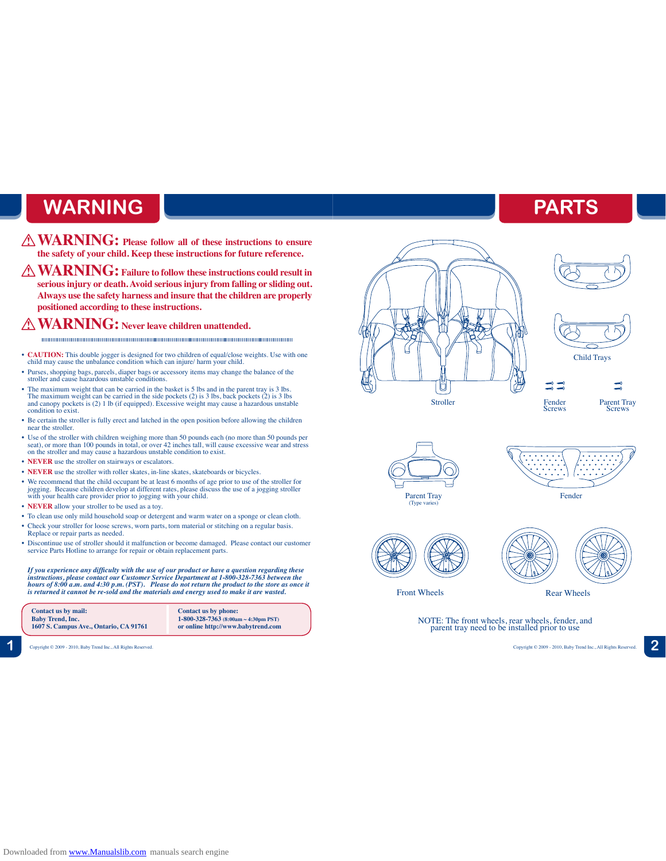# **WARNING**

- **WARNING: Please follow all of these instructions to ensure the safety of your child. Keep these instructions for future reference.**
- **WARNING: Failure to follow these instructions could result in serious injury or death. Avoid serious injury from falling or sliding out. Always use the safety harness and insure that the children are properly positioned according to these instructions.**

#### **WARNING: Never leave children unattended.**

- **CAUTION:** This double jogger is designed for two children of equal/close weights. Use with one child may cause the unbalance condition which can injure/ harm your child.
- Purses, shopping bags, parcels, diaper bags or accessory items may change the balance of the stroller and cause hazardous unstable conditions.
- The maximum weight that can be carried in the basket is 5 lbs and in the parent tray is 3 lbs. The maximum weight can be carried in the side pockets (2) is 3 lbs, back pockets (2) is 3 lbs and canopy pockets is (2) 1 lb (if equipped). Excessive weight may cause a hazardous unstable condition to exist.
- Be certain the stroller is fully erect and latched in the open position before allowing the children near the stroller.
- Use of the stroller with children weighing more than 50 pounds each (no more than 50 pounds per seat), or more than 100 pounds in total, or over 42 inches tall, will cause excessive wear and stress on the stroller and may cause a hazardous unstable condition to exist.
- **NEVER** use the stroller on stairways or escalators.
- **NEVER** use the stroller with roller skates, in-line skates, skateboards or bicycles.
- We recommend that the child occupant be at least 6 months of age prior to use of the stroller for jogging. Because children develop at different rates, please discuss the use of a jogging stroller with your health care provider prior to jogging with your child.
- **NEVER** allow your stroller to be used as a toy.
- To clean use only mild household soap or detergent and warm water on a sponge or clean cloth.
- Check your stroller for loose screws, worn parts, torn material or stitching on a regular basis. Replace or repair parts as needed.
- Discontinue use of stroller should it malfunction or become damaged. Please contact our customer service Parts Hotline to arrange for repair or obtain replacement parts.

*If you experience any difficulty with the use of our product or have a question regarding these instructions, please contact our Customer Service Department at 1-800-328-7363 between the hours of 8:00 a.m. and 4:30 p.m. (PST). Please do not return the product to the store as once it is returned it cannot be re-sold and the materials and energy used to make it are wasted.*



**1** Copyright © 2009 - 2010, Baby Trend Inc., All Rights Reserved. Copyright © 2009 - 2010, Baby Trend Inc., All Rights Reserved. **2**

# Stroller



**PARTS**



Parent Tray<br>Screws

 $\equiv$ 





Fender<br>Screws

 $= -$ 





NOTE: The front wheels, rear wheels, fender, and parent tray need to be installed prior to use

Downloaded from [www.Manualslib.com](http://www.manualslib.com/) manuals search engine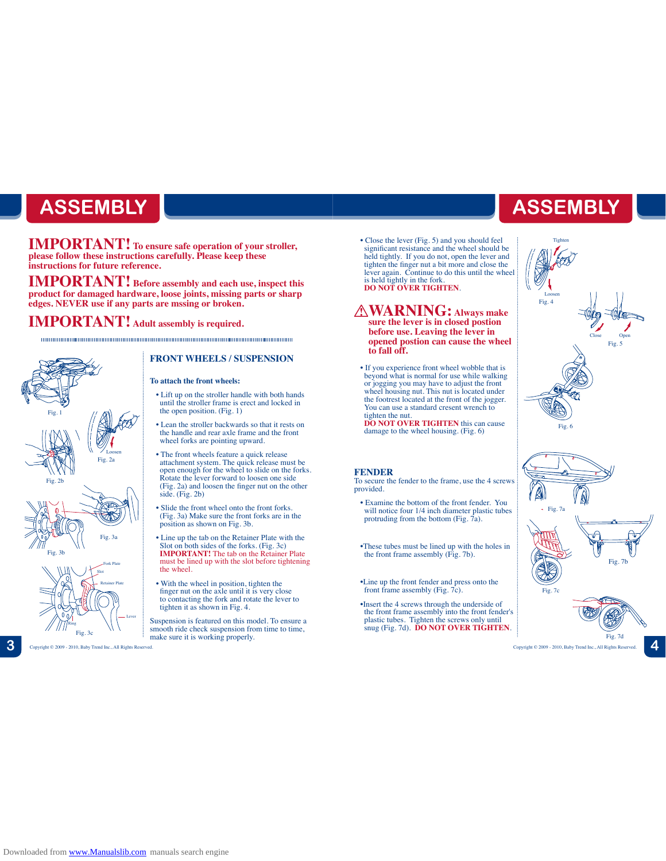# **ASSEMBLY ASSEMBLY**

**IMPORTANT! To ensure safe operation of your stroller, please follow these instructions carefully. Please keep these instructions for future reference.**

**IMPORTANT! Before assembly and each use, inspect this product for damaged hardware, loose joints, missing parts or sharp edges. NEVER use if any parts are mssing or broken.**

**IMPORTANT! Adult assembly is required.**



#### **FRONT WHEELS / SUSPENSION**

#### **To attach the front wheels:**

- Lift up on the stroller handle with both hands until the stroller frame is erect and locked in the open position. (Fig. 1)
- Lean the stroller backwards so that it rests on the handle and rear axle frame and the front wheel forks are pointing upward.
- The front wheels feature a quick release attachment system. The quick release must be open enough for the wheel to slide on the forks. Rotate the lever forward to loosen one side (Fig. 2a) and loosen the finger nut on the other side. (Fig. 2b)
- Slide the front wheel onto the front forks. (Fig. 3a) Make sure the front forks are in the position as shown on Fig. 3b.
- Line up the tab on the Retainer Plate with the Slot on both sides of the forks. (Fig. 3c) **IMPORTANT!** The tab on the Retainer Plate must be lined up with the slot before tightening the wheel.
- With the wheel in position, tighten the finger nut on the axle until it is very close to contacting the fork and rotate the lever to tighten it as shown in Fig. 4.
- Suspension is featured on this model. To ensure a smooth ride check suspension from time to time, make sure it is working properly.

• Close the lever (Fig. 5) and you should feel significant resistance and the wheel should be held tightly. If you do not, open the lever and tighten the finger nut a bit more and close the lever again. Continue to do this until the wheel is held tightly in the fork. **DO NOT OVER TIGHTEN**.

**WARNING: Always make sure the lever is in closed postion before use. Leaving the lever in opened postion can cause the wheel to fall off.** 

• If you experience front wheel wobble that is beyond what is normal for use while walking or jogging you may have to adjust the front wheel housing nut. This nut is located under the footrest located at the front of the jogger. You can use a standard cresent wrench to

tighten the nut. **DO NOT OVER TIGHTEN** this can cause damage to the wheel housing. (Fig. 6)

#### **FENDER**

To secure the fender to the frame, use the 4 screws provided.

• Examine the bottom of the front fender. You will notice four 1/4 inch diameter plastic tubes protruding from the bottom (Fig.  $\vec{7}a$ ).

•These tubes must be lined up with the holes in the front frame assembly (Fig. 7b).

•Line up the front fender and press onto the front frame assembly (Fig.  $7c$ ).

•Insert the 4 screws through the underside of the front frame assembly into the front fender's plastic tubes. Tighten the screws only until snug (Fig. 7d). **DO NOT OVER TIGHTEN**.



Tighten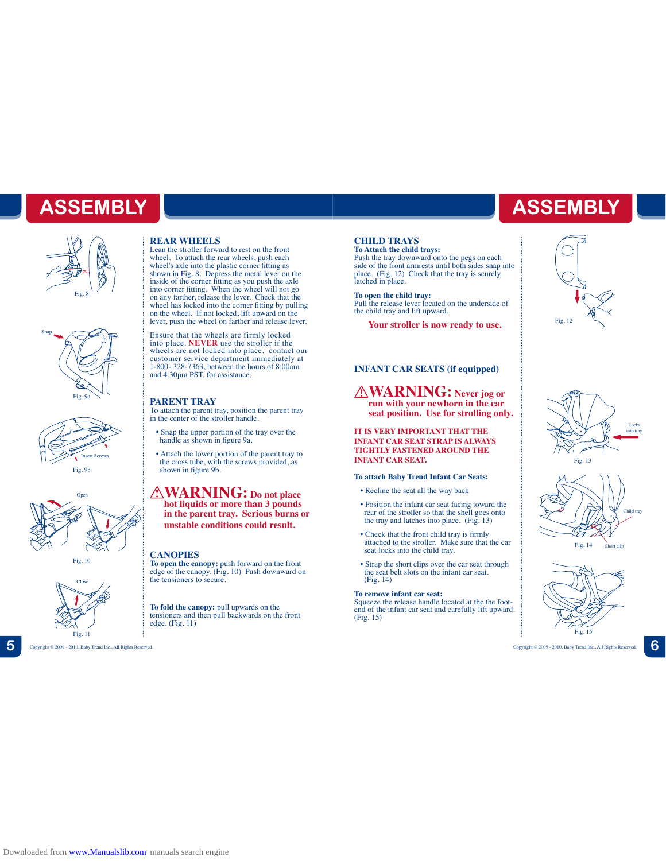# **ASSEMBLY**

![](_page_3_Picture_1.jpeg)

![](_page_3_Figure_2.jpeg)

![](_page_3_Picture_3.jpeg)

![](_page_3_Picture_4.jpeg)

Fig. 10

![](_page_3_Picture_6.jpeg)

**5** Copyright © 2009 - 2010, Baby Trend Inc., All Rights Reserved. Copyright © 2009 - 2010, Baby Trend Inc., All Rights Reserved. **6**

#### **REAR WHEELS**

Lean the stroller forward to rest on the front wheel. To attach the rear wheels, push each wheel's axle into the plastic corner fitting as shown in Fig. 8. Depress the metal lever on the inside of the corner fitting as you push the axle into corner fitting. When the wheel will not go on any farther, release the lever. Check that the wheel has locked into the corner fitting by pulling on the wheel. If not locked, lift upward on the lever, push the wheel on farther and release lever.

Ensure that the wheels are firmly locked<br>into place. **NEVER** use the stroller if the<br>wheels are not locked into place, contact our<br>customer service department immediately at 1-800- 328-7363, between the hours of 8:00am and 4:30pm PST, for assistance.

#### **PARENT TRAY**

To attach the parent tray, position the parent tray in the center of the stroller handle.

- Snap the upper portion of the tray over the handle as shown in figure 9a.
- Attach the lower portion of the parent tray to the cross tube, with the screws provided, as shown in figure 9b.

**WARNING: Do not place hot liquids or more than 3 pounds in the parent tray. Serious burns or unstable conditions could result.**

#### **CANOPIES**

**To open the canopy:** push forward on the front edge of the canopy. (Fig. 10) Push downward on the tensioners to secure.

**To fold the canopy:** pull upwards on the tensioners and then pull backwards on the front edge. (Fig. 11)

#### **CHILD TRAYS**

**To Attach the child trays:**

Push the tray downward onto the pegs on each side of the front armrests until both sides snap into place. (Fig. 12) Check that the tray is scurely latched in place.

**To open the child tray:** Pull the release lever located on the underside of the child tray and lift upward.

**Your stroller is now ready to use.**

#### **INFANT CAR SEATS (if equipped)**

**WARNING: Never jog or run with your newborn in the car seat position. Use for strolling only.**

#### **IT IS VERY IMPORTANT THAT THE INFANT CAR SEAT STRAP IS ALWAYS TIGHTLY FASTENED AROUND THE INFANT CAR SEAT.**

#### **To attach Baby Trend Infant Car Seats:**

- Recline the seat all the way back
- Position the infant car seat facing toward the rear of the stroller so that the shell goes onto the tray and latches into place. (Fig. 13)
- Check that the front child tray is firmly attached to the stroller. Make sure that the car seat locks into the child tray.
- Strap the short clips over the car seat through the seat belt slots on the infant car seat. (Fig. 14)

#### **To remove infant car seat:**

Squeeze the release handle located at the the footend of the infant car seat and carefully lift upward. (Fig. 15)

![](_page_3_Picture_34.jpeg)

**ASSEMBLY**

![](_page_3_Figure_35.jpeg)

![](_page_3_Figure_36.jpeg)

![](_page_3_Figure_37.jpeg)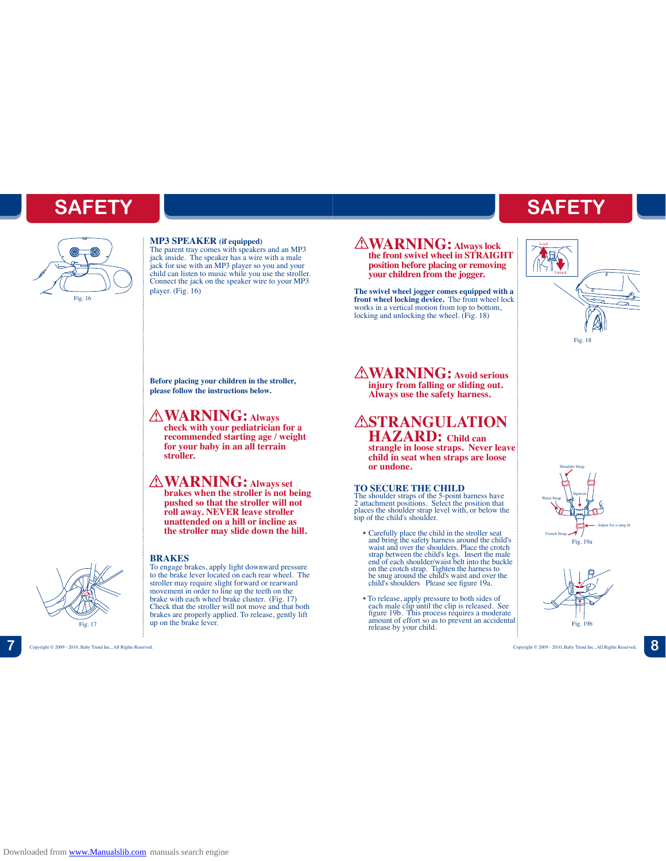# **SAFETY**

![](_page_4_Picture_1.jpeg)

#### **MP3 SPEAKER (if equipped)**

The parent tray comes with speakers and an MP3<br>jack inside. The speaker has a wire with a male<br>jack for use with an MP3 player so you and your<br>child can listen to music while you use the stroller.<br>Connect the jack on the s player. (Fig. 16)

### **the front swivel wheel in STRAIGHT**

**WARNING: Always lock** 

**your children from the jogger.**

![](_page_4_Picture_7.jpeg)

**SAFETY**

Fig. 18

**Before placing your children in the stroller, please follow the instructions below.**

#### **WARNING: Always**

**check with your pediatrician for a recommended starting age / weight for your baby in an all terrain stroller.**

#### **WARNING: Always set**

**brakes when the stroller is not being pushed so that the stroller will not roll away. NEVER leave stroller unattended on a hill or incline as the stroller may slide down the hill.**

to the brake lever located on each rear wheel. The stroller may require slight forward or rearward movement in order to line up the teeth on the brake with each wheel brake cluster. (Fig. 17) Check that the stroller will not move and that both brakes are properly applied. To release, gently lift

#### **BRAKES** To engage brakes, apply light downward pressure

up on the brake lever.

![](_page_4_Picture_14.jpeg)

**position before placing or removing** 

**The swivel wheel jogger comes equipped with a front wheel locking device.** The front wheel lock works in a vertical motion from top to bottom,

locking and unlocking the wheel. (Fig. 18)<br>  $F_{\text{fig. 18}}$ <br>  $\triangle \textbf{WARMING:}$  Avoid serious<br>  $\text{inium from following or splitting out}$ **WARNING: Avoid serious injury from falling or sliding out. Always use the safety harness.** 

# **ASTRANGULATION**

**HAZARD: Child can strangle in loose straps. Never leave child in seat when straps are loose or undone.** 

#### **TO SECURE THE CHILD**

The shoulder straps of the 5-point harness have 2 attachment positions. Select the position that places the shoulder strap level with, or below the top of the child's shoulder.

- Carefully place the child in the stroller seat<br>and bring the safety harmess around the child's<br>waist and over the shoulders. Place the crotch<br>strap between the child's legs. Insert the male<br>end of each shoulder/waist bel
- To release, apply pressure to both sides of each male clip until the clip is released. See figure 19b. This process requires a moderate amount of effort so as to prevent an accidental Fig. 17 **release** by your child.

![](_page_4_Picture_25.jpeg)

![](_page_4_Figure_26.jpeg)

**7** Copyright © 2009 - 2010, Baby Trend Inc., All Rights Reserved. Copyright © 2009 - 2010, Baby Trend Inc., All Rights Reserved. **8**